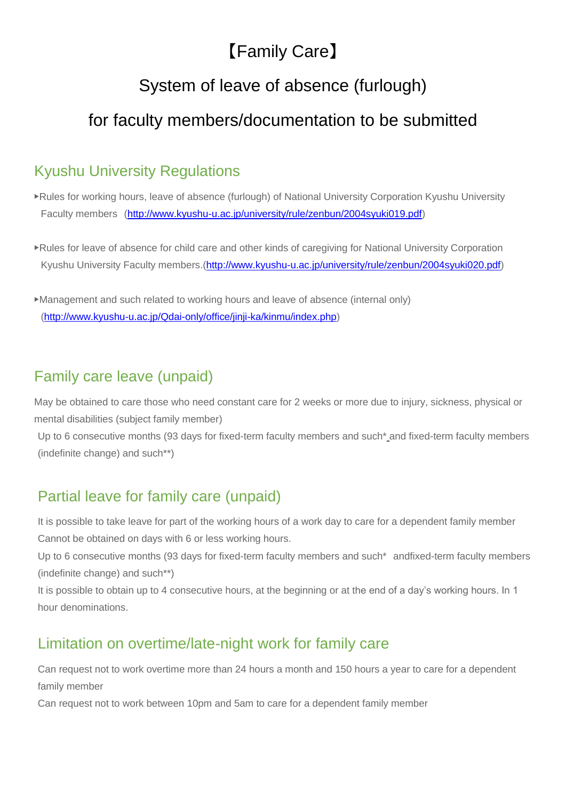# 【Family Care】

# System of leave of absence (furlough)

# for faculty members/documentation to be submitted

# Kyushu University Regulations

- ▶Rules for working hours, leave of absence (furlough) of National University Corporation Kyushu University Faculty members [\(http://www.kyushu-u.ac.jp/university/rule/zenbun/2004syuki019.pdf\)](http://www.kyushu-u.ac.jp/university/rule/zenbun/2004syuki019.pdf)
- ▶Rules for leave of absence for child care and other kinds of caregiving for National University Corporation Kyushu University Faculty members.[\(http://www.kyushu-u.ac.jp/university/rule/zenbun/2004syuki020.pdf\)](http://www.kyushu-u.ac.jp/university/rule/zenbun/2004syuki020.pdf)
- ▶Management and such related to working hours and leave of absence (internal only) [\(http://www.kyushu-u.ac.jp/Qdai-only/office/jinji-ka/kinmu/index.php\)](http://www.kyushu-u.ac.jp/Qdai-only/office/jinji-ka/kinmu/index.php)

# Family care leave (unpaid)

May be obtained to care those who need constant care for 2 weeks or more due to injury, sickness, physical or mental disabilities (subject family member)

Up to 6 consecutive months (93 days for fixed-term faculty members and such\* and fixed-term faculty members (indefinite change) and such\*\*)

# Partial leave for family care (unpaid)

It is possible to take leave for part of the working hours of a work day to care for a dependent family member Cannot be obtained on days with 6 or less working hours.

Up to 6 consecutive months (93 days for fixed-term faculty members and such\* andfixed-term faculty members (indefinite change) and such\*\*)

It is possible to obtain up to 4 consecutive hours, at the beginning or at the end of a day's working hours. In 1 hour denominations.

### Limitation on overtime/late-night work for family care

Can request not to work overtime more than 24 hours a month and 150 hours a year to care for a dependent family member

Can request not to work between 10pm and 5am to care for a dependent family member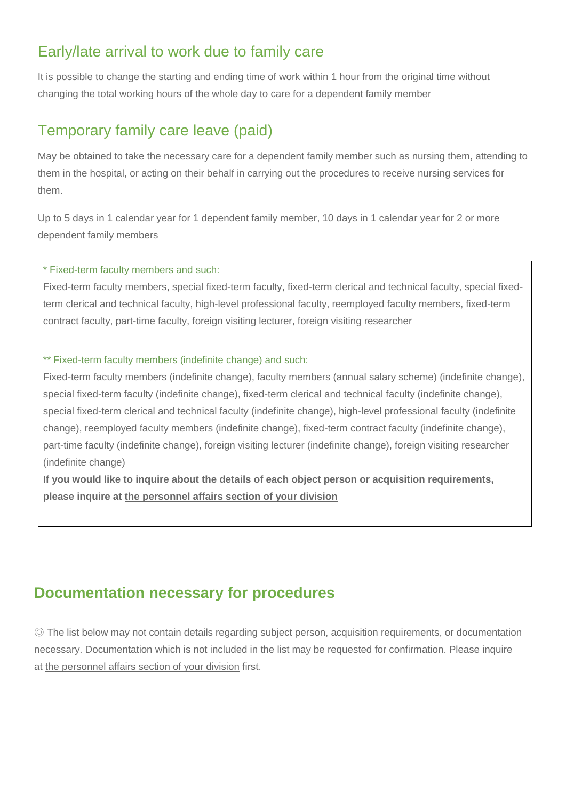### Early/late arrival to work due to family care

It is possible to change the starting and ending time of work within 1 hour from the original time without changing the total working hours of the whole day to care for a dependent family member

### Temporary family care leave (paid)

May be obtained to take the necessary care for a dependent family member such as nursing them, attending to them in the hospital, or acting on their behalf in carrying out the procedures to receive nursing services for them.

Up to 5 days in 1 calendar year for 1 dependent family member, 10 days in 1 calendar year for 2 or more dependent family members

\* Fixed-term faculty members and such:

Fixed-term faculty members, special fixed-term faculty, fixed-term clerical and technical faculty, special fixedterm clerical and technical faculty, high-level professional faculty, reemployed faculty members, fixed-term contract faculty, part-time faculty, foreign visiting lecturer, foreign visiting researcher

#### \*\* Fixed-term faculty members (indefinite change) and such:

Fixed-term faculty members (indefinite change), faculty members (annual salary scheme) (indefinite change), special fixed-term faculty (indefinite change), fixed-term clerical and technical faculty (indefinite change), special fixed-term clerical and technical faculty (indefinite change), high-level professional faculty (indefinite change), reemployed faculty members (indefinite change), fixed-term contract faculty (indefinite change), part-time faculty (indefinite change), foreign visiting lecturer (indefinite change), foreign visiting researcher (indefinite change)

**If you would like to inquire about the details of each object person or acquisition requirements, please inquire at the personnel affairs section of your division**

#### **Documentation necessary for procedures**

◎ The list below may not contain details regarding subject person, acquisition requirements, or documentation necessary. Documentation which is not included in the list may be requested for confirmation. Please inquire at the personnel affairs section of your division first.